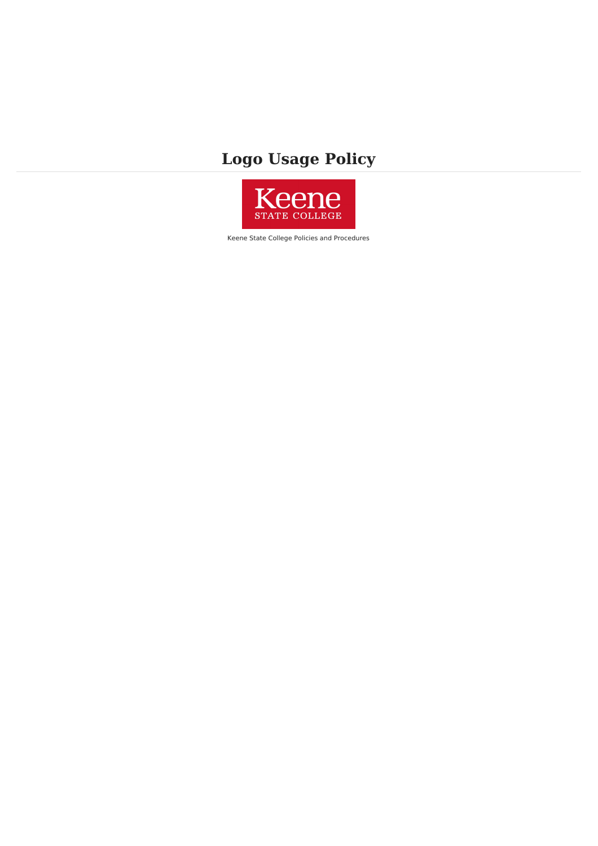## **Logo Usage Policy**



Keene State College Policies and Procedures